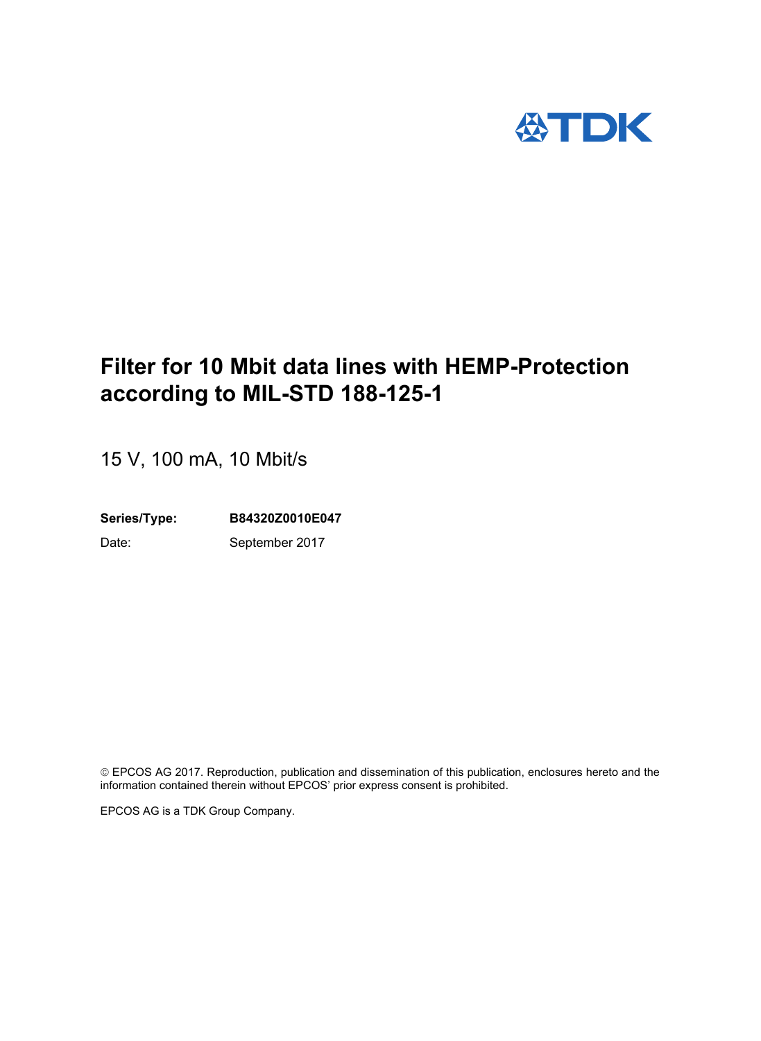

# **Filter for 10 Mbit data lines with HEMP-Protection according to MIL-STD 188-125-1**

15 V, 100 mA, 10 Mbit/s

**Series/Type: B84320Z0010E047**

Date: September 2017

 EPCOS AG 2017. Reproduction, publication and dissemination of this publication, enclosures hereto and the information contained therein without EPCOS' prior express consent is prohibited.

EPCOS AG is a TDK Group Company.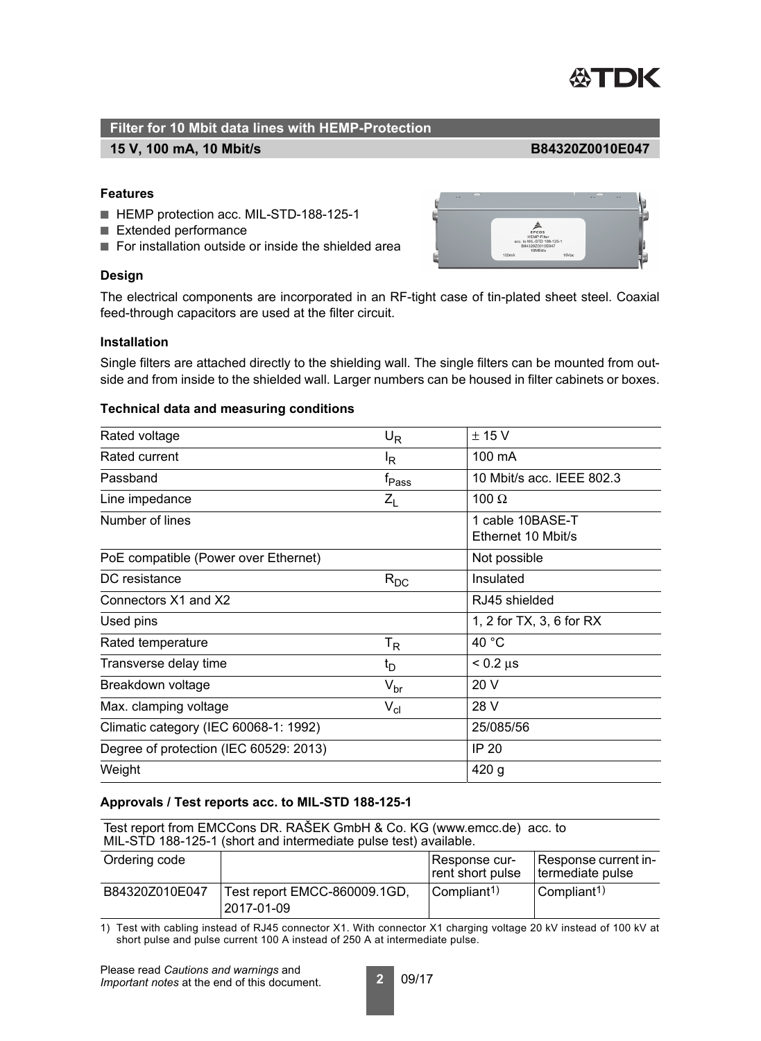

#### **15 V, 100 mA, 10 Mbit/s B84320Z0010E047**

### **Features**

- HEMP protection acc. MIL-STD-188-125-1
- Extended performance
- For installation outside or inside the shielded area

#### **Design**



The electrical components are incorporated in an RF-tight case of tin-plated sheet steel. Coaxial feed-through capacitors are used at the filter circuit.

#### **Installation**

Single filters are attached directly to the shielding wall. The single filters can be mounted from outside and from inside to the shielded wall. Larger numbers can be housed in filter cabinets or boxes.

#### **Technical data and measuring conditions**

| Rated voltage                          | $U_R$               | ± 15 V                                 |
|----------------------------------------|---------------------|----------------------------------------|
| Rated current                          | <sup>I</sup> R      | 100 mA                                 |
| Passband                               | $f_{\mathsf{Pass}}$ | 10 Mbit/s acc. IEEE 802.3              |
| Line impedance                         | $Z_L$               | 100 $\Omega$                           |
| Number of lines                        |                     | 1 cable 10BASE-T<br>Ethernet 10 Mbit/s |
| PoE compatible (Power over Ethernet)   |                     | Not possible                           |
| DC resistance                          | $R_{DC}$            | Insulated                              |
| Connectors X1 and X2                   |                     | RJ45 shielded                          |
| Used pins                              |                     | 1, 2 for TX, 3, 6 for RX               |
| Rated temperature                      | $T_R$               | 40 °C                                  |
| Transverse delay time                  | $t_D$               | $< 0.2 \mu s$                          |
| Breakdown voltage                      | $V_{\text{br}}$     | 20 V                                   |
| Max. clamping voltage                  | $V_{\text{cl}}$     | 28 V                                   |
| Climatic category (IEC 60068-1: 1992)  |                     | 25/085/56                              |
| Degree of protection (IEC 60529: 2013) |                     | <b>IP 20</b>                           |
| Weight                                 |                     | 420 g                                  |

#### **Approvals / Test reports acc. to MIL-STD 188-125-1**

Test report from EMCCons DR. RAŠEK GmbH & Co. KG (www.emcc.de) acc. to MIL-STD 188-125-1 (short and intermediate pulse test) available.

| Ordering code  |                                            | l Response cur-<br>rent short pulse | Response current in-<br>termediate pulse |
|----------------|--------------------------------------------|-------------------------------------|------------------------------------------|
| B84320Z010E047 | Test report EMCC-860009.1GD,<br>2017-01-09 | $\mathsf{Compliant}^{(1)}$          | $\mathsf{Compliant}^{(1)}$               |

1) Test with cabling instead of RJ45 connector X1. With connector X1 charging voltage 20 kV instead of 100 kV at short pulse and pulse current 100 A instead of 250 A at intermediate pulse.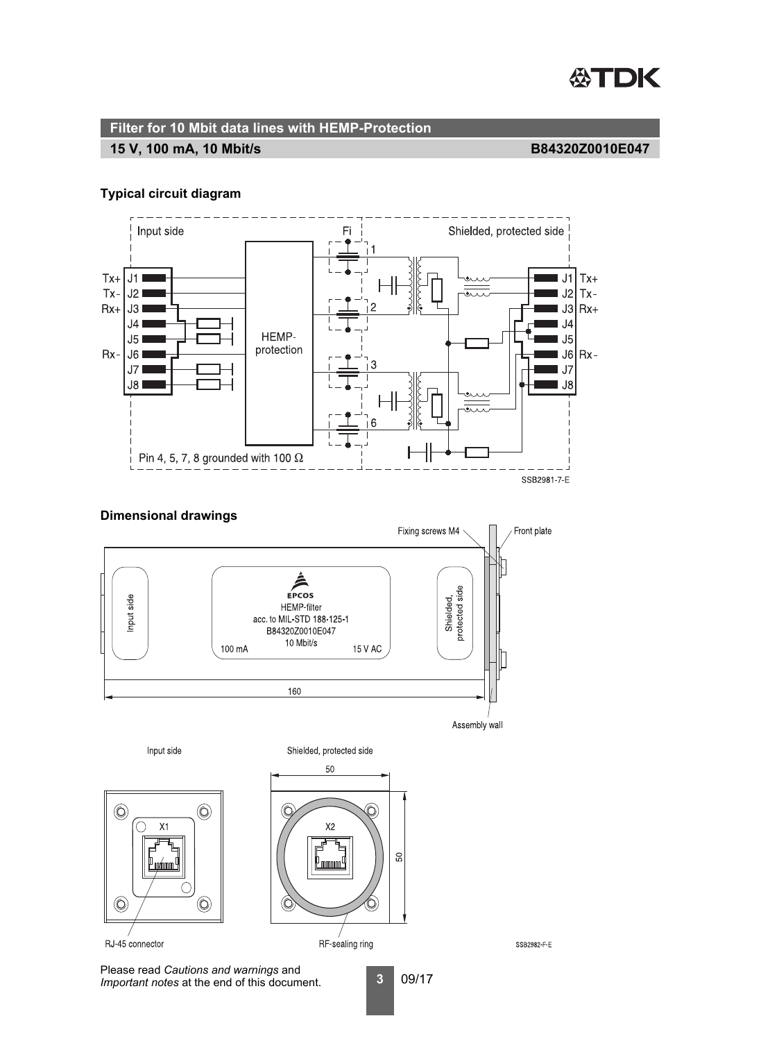

# **15 V, 100 mA, 10 Mbit/s**

### **B84320Z0010E047**

### **Typical circuit diagram**



## **Dimensional drawings**



Please read *Cautions and warnings* and *Important notes* at the end of this document.

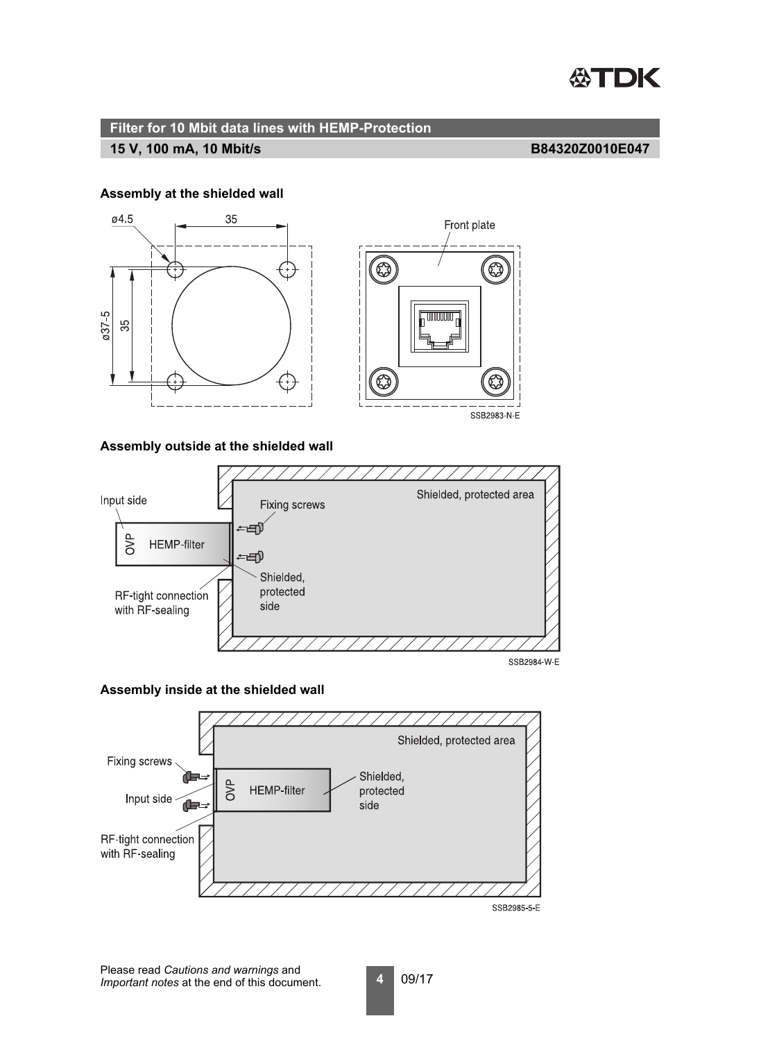

#### **15 V, 100 mA, 10 Mbit/s B84320Z0010E047**

#### **Assembly at the shielded wall**



### **Assembly outside at the shielded wall**



SSB2984-W-E

#### **Assembly inside at the shielded wall**

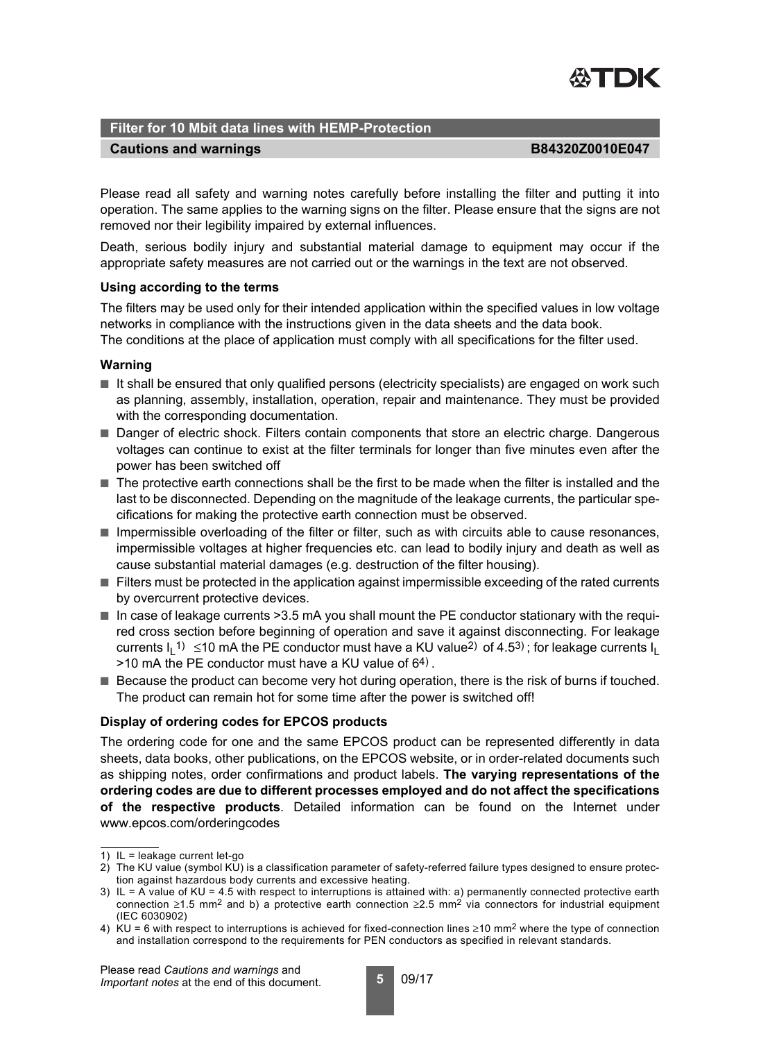

#### **Cautions and warnings B84320Z0010E047**

Please read all safety and warning notes carefully before installing the filter and putting it into operation. The same applies to the warning signs on the filter. Please ensure that the signs are not removed nor their legibility impaired by external influences.

Death, serious bodily injury and substantial material damage to equipment may occur if the appropriate safety measures are not carried out or the warnings in the text are not observed.

#### **Using according to the terms**

The filters may be used only for their intended application within the specified values in low voltage networks in compliance with the instructions given in the data sheets and the data book. The conditions at the place of application must comply with all specifications for the filter used.

#### **Warning**

- It shall be ensured that only qualified persons (electricity specialists) are engaged on work such as planning, assembly, installation, operation, repair and maintenance. They must be provided with the corresponding documentation.
- Danger of electric shock. Filters contain components that store an electric charge. Dangerous voltages can continue to exist at the filter terminals for longer than five minutes even after the power has been switched off
- The protective earth connections shall be the first to be made when the filter is installed and the last to be disconnected. Depending on the magnitude of the leakage currents, the particular specifications for making the protective earth connection must be observed.
- Impermissible overloading of the filter or filter, such as with circuits able to cause resonances, impermissible voltages at higher frequencies etc. can lead to bodily injury and death as well as cause substantial material damages (e.g. destruction of the filter housing).
- Filters must be protected in the application against impermissible exceeding of the rated currents by overcurrent protective devices.
- In case of leakage currents > 3.5 mA you shall mount the PE conductor stationary with the required cross section before beginning of operation and save it against disconnecting. For leakage currents I<sub>L</sub>1)≤10 mA the PE conductor must have a KU value<sup>2)</sup> of 4.5<sup>3)</sup> ; for leakage currents I<sub>L</sub>  $>10$  mA the PE conductor must have a KU value of  $64$ ).
- Because the product can become very hot during operation, there is the risk of burns if touched. The product can remain hot for some time after the power is switched off!

#### **Display of ordering codes for EPCOS products**

The ordering code for one and the same EPCOS product can be represented differently in data sheets, data books, other publications, on the EPCOS website, or in order-related documents such as shipping notes, order confirmations and product labels. **The varying representations of the ordering codes are due to different processes employed and do not affect the specifications of the respective products**. Detailed information can be found on the Internet under www.epcos.com/orderingcodes

Please read *Cautions and warnings* and *Important notes* at the end of this document.

<sup>1)</sup> IL = leakage current let-go

<sup>2)</sup> The KU value (symbol KU) is a classification parameter of safety-referred failure types designed to ensure protection against hazardous body currents and excessive heating.

<sup>3)</sup> IL = A value of KU = 4.5 with respect to interruptions is attained with: a) permanently connected protective earth connection ≥1.5 mm<sup>2</sup> and b) a protective earth connection ≥2.5 mm<sup>2</sup> via connectors for industrial equipment (IEC 6030902)

<sup>4)</sup> KU = 6 with respect to interruptions is achieved for fixed-connection lines  $\geq$ 10 mm<sup>2</sup> where the type of connection and installation correspond to the requirements for PEN conductors as specified in relevant standards.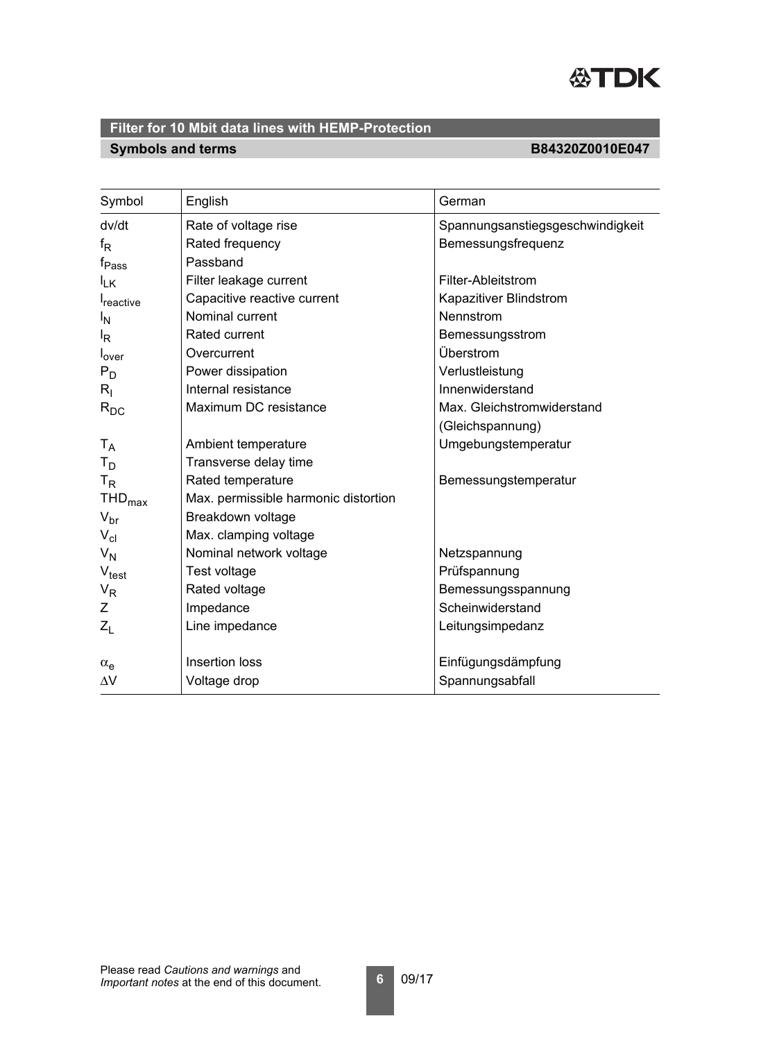

# **Symbols and terms B84320Z0010E047**

| Symbol                        | English                              | German                           |  |
|-------------------------------|--------------------------------------|----------------------------------|--|
| dv/dt                         | Rate of voltage rise                 | Spannungsanstiegsgeschwindigkeit |  |
| $f_{\mathsf{R}}$              | Rated frequency                      | Bemessungsfrequenz               |  |
| f <sub>Pass</sub>             | Passband                             |                                  |  |
| $I_{LK}$                      | Filter leakage current               | Filter-Ableitstrom               |  |
| <b>I</b> reactive             | Capacitive reactive current          | Kapazitiver Blindstrom           |  |
| <sup>I</sup> N                | Nominal current                      | Nennstrom                        |  |
| $I_R$                         | Rated current                        | Bemessungsstrom                  |  |
| l <sub>over</sub>             | Overcurrent                          | Überstrom                        |  |
| $P_D$                         | Power dissipation                    | Verlustleistung                  |  |
| $R_{\rm I}$                   | Internal resistance                  | Innenwiderstand                  |  |
| $R_{DC}$                      | Maximum DC resistance                | Max. Gleichstromwiderstand       |  |
|                               |                                      | (Gleichspannung)                 |  |
| $T_A$                         | Ambient temperature                  | Umgebungstemperatur              |  |
| $T_D$                         | Transverse delay time                |                                  |  |
| $T_R$                         | Rated temperature                    | Bemessungstemperatur             |  |
| $\mathsf{THD}_{\mathsf{max}}$ | Max. permissible harmonic distortion |                                  |  |
| $V_{\text{br}}$               | Breakdown voltage                    |                                  |  |
| $V_{\text{cl}}$               | Max. clamping voltage                |                                  |  |
| $V_N$                         | Nominal network voltage              | Netzspannung                     |  |
| $V_{\text{test}}$             | Test voltage                         | Prüfspannung                     |  |
| $V_R$                         | Rated voltage                        | Bemessungsspannung               |  |
| Z                             | Impedance                            | Scheinwiderstand                 |  |
| $Z_L$                         | Line impedance                       | Leitungsimpedanz                 |  |
| $\alpha_e$                    | Insertion loss                       | Einfügungsdämpfung               |  |
| $\Delta \rm{V}$               | Voltage drop                         | Spannungsabfall                  |  |